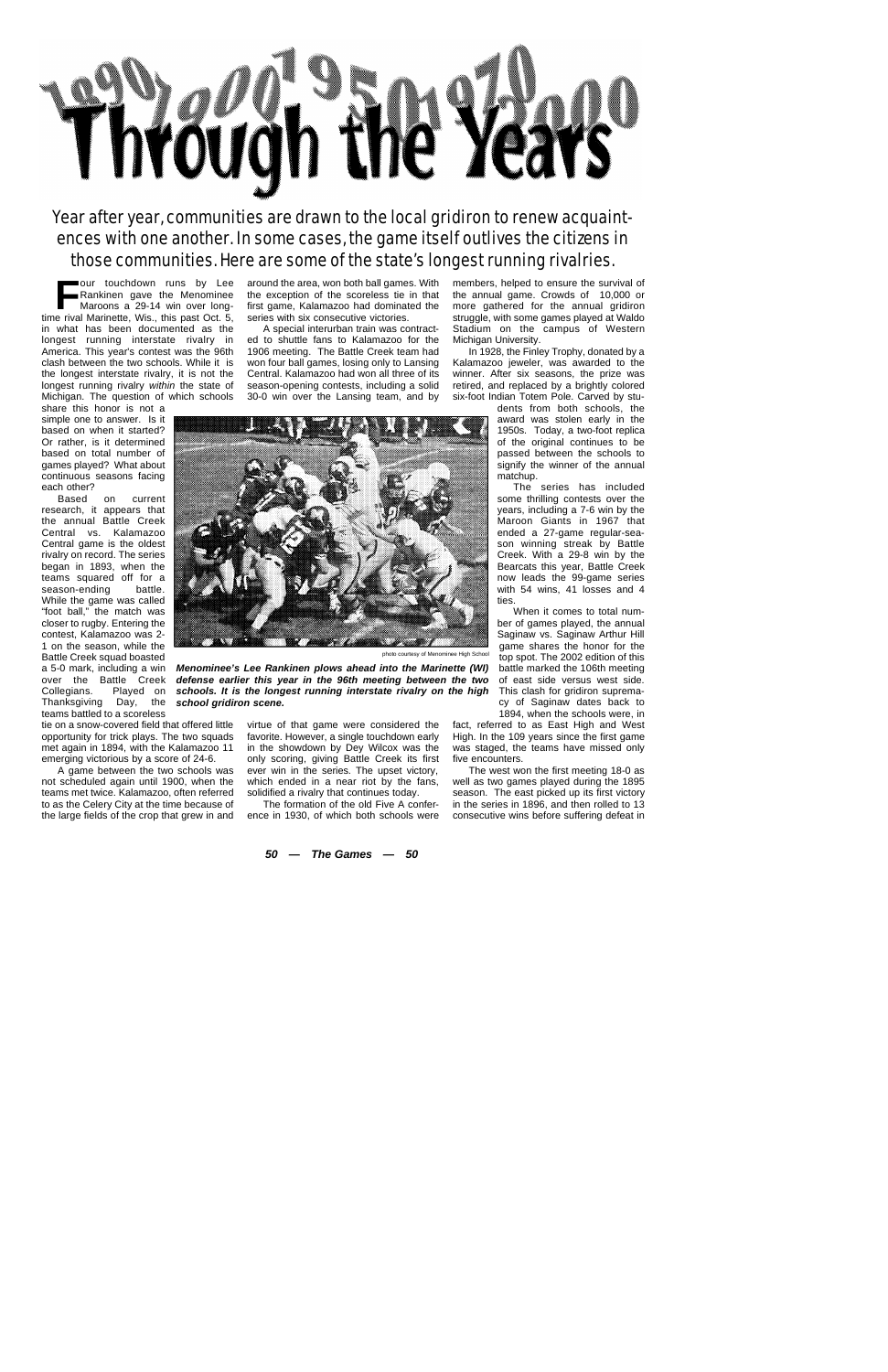## Thvough the Yeavs

*Year after year, communities are drawn to the local gridiron to renew acquaintences with one another. In some cases, the game itself outlives the citizens in those communities. Here are some of the state's longest running rivalries.*

**FROM THE READ FRAME RANKINET THE RANKING MATER MARY ONE CONSUMINUE MATER WE WANTED MANY CONSUMINUE MANY OF SUPPRESE AND NOTE THANKING WE ALL S. S., this past Oct. 5,** our touchdown runs by Lee Rankinen gave the Menominee Maroons a 29-14 win over longin what has been documented as the longest running interstate rivalry in America. This year's contest was the 96th clash between the two schools. While it is the longest interstate rivalry, it is not the longest running rivalry *within* the state of Michigan. The question of which schools

share this honor is not a simple one to answer. Is it based on when it started? Or rather, is it determined based on total number of games played? What about continuous seasons facing each other?

on current research, it appears that the annual Battle Creek Central vs. Kalamazoo Central game is the oldest rivalry on record. The series began in 1893, when the teams squared off for a season-ending battle. While the game was called "foot ball," the match was closer to rugby. Entering the contest, Kalamazoo was 2- 1 on the season, while the Battle Creek squad boasted a 5-0 mark, including a win over the Battle Creek Collegians. Played on Thanksgiving Day, the teams battled to a scoreless

around the area, won both ball games. With the exception of the scoreless tie in that first game, Kalamazoo had dominated the series with six consecutive victories.

A special interurban train was contracted to shuttle fans to Kalamazoo for the 1906 meeting. The Battle Creek team had won four ball games, losing only to Lansing Central. Kalamazoo had won all three of its season-opening contests, including a solid 30-0 win over the Lansing team, and by

members, helped to ensure the survival of the annual game. Crowds of 10,000 or more gathered for the annual gridiron struggle, with some games played at Waldo Stadium on the campus of Western Michigan University.

In 1928, the Finley Trophy, donated by a Kalamazoo jeweler, was awarded to the winner. After six seasons, the prize was retired, and replaced by a brightly colored six-foot Indian Totem Pole. Carved by stu-

dents from both schools, the award was stolen early in the 1950s. Today, a two-foot replica of the original continues to be passed between the schools to signify the winner of the annual matchup.

The series has included some thrilling contests over the years, including a 7-6 win by the Maroon Giants in 1967 that ended a 27-game regular-season winning streak by Battle Creek. With a 29-8 win by the Bearcats this year, Battle Creek now leads the 99-game series with 54 wins, 41 losses and 4 ties.

When it comes to total number of games played, the annual Saginaw vs. Saginaw Arthur Hill game shares the honor for the top spot. The 2002 edition of this battle marked the 106th meeting of east side versus west side. This clash for gridiron supremacy of Saginaw dates back to 1894, when the schools were, in

fact, referred to as East High and West High. In the 109 years since the first game was staged, the teams have missed only five encounters.

The west won the first meeting 18-0 as well as two games played during the 1895 season. The east picked up its first victory in the series in 1896, and then rolled to 13 consecutive wins before suffering defeat in



photo courtesy of Menominee High School

*Menominee's Lee Rankinen plows ahead into the Marinette (WI) defense earlier this year in the 96th meeting between the two schools. It is the longest running interstate rivalry on the high school gridiron scene.*

tie on a snow-covered field that offered little opportunity for trick plays. The two squads met again in 1894, with the Kalamazoo 11 emerging victorious by a score of 24-6.

A game between the two schools was not scheduled again until 1900, when the teams met twice. Kalamazoo, often referred to as the Celery City at the time because of the large fields of the crop that grew in and

virtue of that game were considered the favorite. However, a single touchdown early in the showdown by Dey Wilcox was the only scoring, giving Battle Creek its first ever win in the series. The upset victory, which ended in a near riot by the fans, solidified a rivalry that continues today.

The formation of the old Five A conference in 1930, of which both schools were